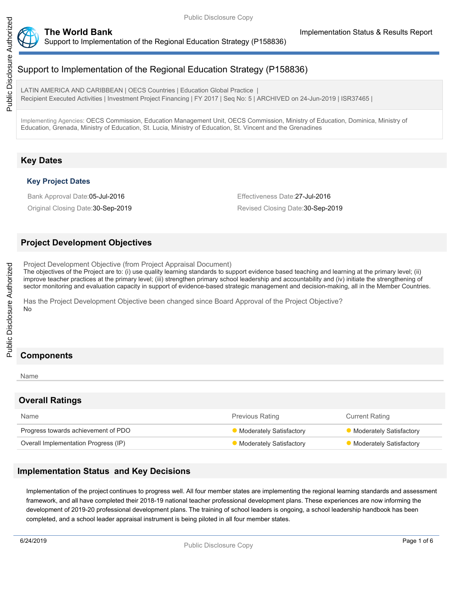

LATIN AMERICA AND CARIBBEAN | OECS Countries | Education Global Practice | Recipient Executed Activities | Investment Project Financing | FY 2017 | Seq No: 5 | ARCHIVED on 24-Jun-2019 | ISR37465 |

Implementing Agencies: OECS Commission, Education Management Unit, OECS Commission, Ministry of Education, Dominica, Ministry of Education, Grenada, Ministry of Education, St. Lucia, Ministry of Education, St. Vincent and the Grenadines

# **Key Dates**

## **Key Project Dates**

Bank Approval Date:05-Jul-2016 **Effectiveness Date:27-Jul-2016** Effectiveness Date:27-Jul-2016

Original Closing Date: 30-Sep-2019 **Revised Closing Date: 30-Sep-2019** Revised Closing Date: 30-Sep-2019

# **Project Development Objectives**

Project Development Objective (from Project Appraisal Document)

The objectives of the Project are to: (i) use quality learning standards to support evidence based teaching and learning at the primary level; (ii) improve teacher practices at the primary level; (iii) strengthen primary school leadership and accountability and (iv) initiate the strengthening of sector monitoring and evaluation capacity in support of evidence-based strategic management and decision-making, all in the Member Countries.

Has the Project Development Objective been changed since Board Approval of the Project Objective? No

# **Components**

#### Name

## **Overall Ratings**

| Name                                 | <b>Previous Rating</b>         | <b>Current Rating</b>          |
|--------------------------------------|--------------------------------|--------------------------------|
| Progress towards achievement of PDO  | <b>Moderately Satisfactory</b> | Moderately Satisfactory        |
| Overall Implementation Progress (IP) | <b>Moderately Satisfactory</b> | <b>Moderately Satisfactory</b> |

# **Implementation Status and Key Decisions**

Implementation of the project continues to progress well. All four member states are implementing the regional learning standards and assessment framework, and all have completed their 2018-19 national teacher professional development plans. These experiences are now informing the development of 2019-20 professional development plans. The training of school leaders is ongoing, a school leadership handbook has been completed, and a school leader appraisal instrument is being piloted in all four member states.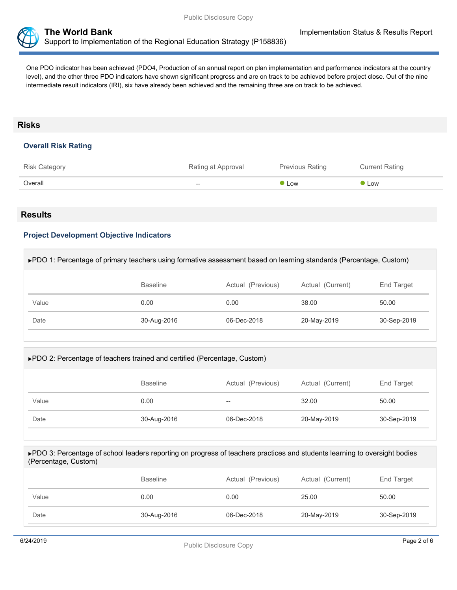

One PDO indicator has been achieved (PDO4, Production of an annual report on plan implementation and performance indicators at the country level), and the other three PDO indicators have shown significant progress and are on track to be achieved before project close. Out of the nine intermediate result indicators (IRI), six have already been achieved and the remaining three are on track to be achieved.

## **Risks**

### **Overall Risk Rating**

| <b>Risk Category</b> | Rating at Approval       | Previous Rating | <b>Current Rating</b> |
|----------------------|--------------------------|-----------------|-----------------------|
| Overall              | $\hspace{0.05cm} \ldots$ | <b>Low</b>      | <b>D</b> Low          |
|                      |                          |                 |                       |

### **Results**

### **Project Development Objective Indicators**

| ▶ PDO 1: Percentage of primary teachers using formative assessment based on learning standards (Percentage, Custom) |                 |                   |                  |             |
|---------------------------------------------------------------------------------------------------------------------|-----------------|-------------------|------------------|-------------|
|                                                                                                                     | <b>Baseline</b> | Actual (Previous) | Actual (Current) | End Target  |
| Value                                                                                                               | 0.00            | 0.00              | 38.00            | 50.00       |
| Date                                                                                                                | 30-Aug-2016     | 06-Dec-2018       | 20-May-2019      | 30-Sep-2019 |
|                                                                                                                     |                 |                   |                  |             |

| ▶ PDO 2: Percentage of teachers trained and certified (Percentage, Custom) |                 |                   |                  |             |  |
|----------------------------------------------------------------------------|-----------------|-------------------|------------------|-------------|--|
|                                                                            | <b>Baseline</b> | Actual (Previous) | Actual (Current) | End Target  |  |
| Value                                                                      | 0.00            | --                | 32.00            | 50.00       |  |
| Date                                                                       | 30-Aug-2016     | 06-Dec-2018       | 20-May-2019      | 30-Sep-2019 |  |
|                                                                            |                 |                   |                  |             |  |

#### ▶ PDO 3: Percentage of school leaders reporting on progress of teachers practices and students learning to oversight bodies (Percentage, Custom)

|       | <b>Baseline</b> | Actual (Previous) | Actual (Current) | End Target  |
|-------|-----------------|-------------------|------------------|-------------|
| Value | 0.00            | 0.00              | 25.00            | 50.00       |
| Date  | 30-Aug-2016     | 06-Dec-2018       | 20-May-2019      | 30-Sep-2019 |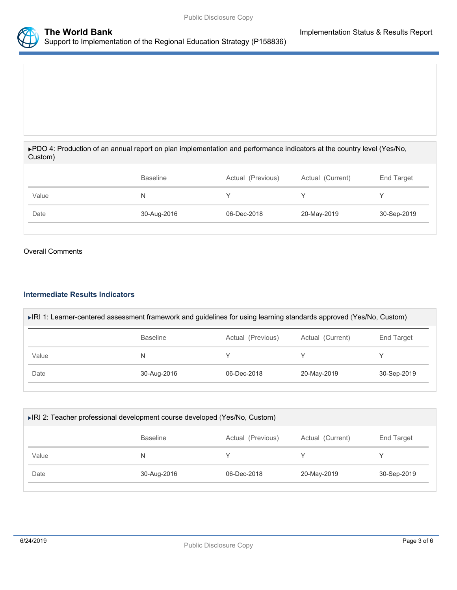



PDO 4: Production of an annual report on plan implementation and performance indicators at the country level (Yes/No, Custom)

|       | <b>Baseline</b> | Actual (Previous) | Actual (Current) | End Target  |
|-------|-----------------|-------------------|------------------|-------------|
| Value | N               |                   |                  |             |
| Date  | 30-Aug-2016     | 06-Dec-2018       | 20-May-2019      | 30-Sep-2019 |

#### Overall Comments

### **Intermediate Results Indicators**

| ▶ IRI 1: Learner-centered assessment framework and guidelines for using learning standards approved (Yes/No, Custom) |                 |                   |                  |             |
|----------------------------------------------------------------------------------------------------------------------|-----------------|-------------------|------------------|-------------|
|                                                                                                                      | <b>Baseline</b> | Actual (Previous) | Actual (Current) | End Target  |
| Value                                                                                                                | N               |                   |                  |             |
| Date                                                                                                                 | 30-Aug-2016     | 06-Dec-2018       | 20-May-2019      | 30-Sep-2019 |

| ▶ IRI 2: Teacher professional development course developed (Yes/No, Custom) |                 |                   |                  |             |
|-----------------------------------------------------------------------------|-----------------|-------------------|------------------|-------------|
|                                                                             | <b>Baseline</b> | Actual (Previous) | Actual (Current) | End Target  |
| Value                                                                       | N               |                   |                  |             |
| Date                                                                        | 30-Aug-2016     | 06-Dec-2018       | 20-May-2019      | 30-Sep-2019 |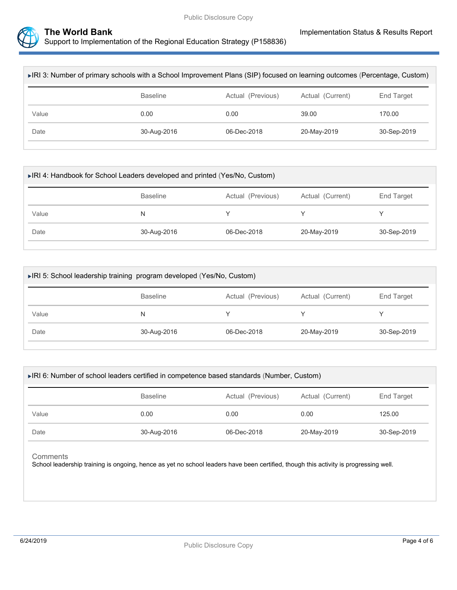

| ►IRI 3: Number of primary schools with a School Improvement Plans (SIP) focused on learning outcomes (Percentage, Custom) |                 |                   |                  |             |
|---------------------------------------------------------------------------------------------------------------------------|-----------------|-------------------|------------------|-------------|
|                                                                                                                           | <b>Baseline</b> | Actual (Previous) | Actual (Current) | End Target  |
| Value                                                                                                                     | 0.00            | 0.00              | 39.00            | 170.00      |
| Date                                                                                                                      | 30-Aug-2016     | 06-Dec-2018       | 20-May-2019      | 30-Sep-2019 |

| ▶ IRI 4: Handbook for School Leaders developed and printed (Yes/No, Custom) |                 |                   |                  |             |  |  |
|-----------------------------------------------------------------------------|-----------------|-------------------|------------------|-------------|--|--|
|                                                                             | <b>Baseline</b> | Actual (Previous) | Actual (Current) | End Target  |  |  |
| Value                                                                       | N               |                   |                  |             |  |  |
| Date                                                                        | 30-Aug-2016     | 06-Dec-2018       | 20-May-2019      | 30-Sep-2019 |  |  |
|                                                                             |                 |                   |                  |             |  |  |

| ► IRI 5: School leadership training program developed (Yes/No, Custom) |                 |                   |                  |             |
|------------------------------------------------------------------------|-----------------|-------------------|------------------|-------------|
|                                                                        | <b>Baseline</b> | Actual (Previous) | Actual (Current) | End Target  |
| Value                                                                  | N               |                   |                  |             |
| Date                                                                   | 30-Aug-2016     | 06-Dec-2018       | 20-May-2019      | 30-Sep-2019 |

| ▶ RI 6: Number of school leaders certified in competence based standards (Number, Custom) |                 |                   |                  |             |
|-------------------------------------------------------------------------------------------|-----------------|-------------------|------------------|-------------|
|                                                                                           | <b>Baseline</b> | Actual (Previous) | Actual (Current) | End Target  |
| Value                                                                                     | 0.00            | 0.00              | 0.00             | 125.00      |
| Date                                                                                      | 30-Aug-2016     | 06-Dec-2018       | 20-May-2019      | 30-Sep-2019 |

**Comments** 

School leadership training is ongoing, hence as yet no school leaders have been certified, though this activity is progressing well.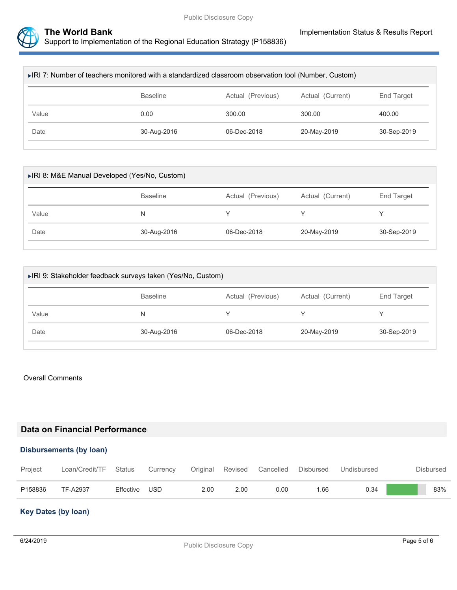

| ▶ IRI 7: Number of teachers monitored with a standardized classroom observation tool (Number, Custom) |                                      |             |                  |                   |  |  |
|-------------------------------------------------------------------------------------------------------|--------------------------------------|-------------|------------------|-------------------|--|--|
|                                                                                                       | <b>Baseline</b><br>Actual (Previous) |             | Actual (Current) | <b>End Target</b> |  |  |
| Value                                                                                                 | 0.00                                 | 300.00      | 300.00           | 400.00            |  |  |
| Date                                                                                                  | 30-Aug-2016                          | 06-Dec-2018 | 20-May-2019      | 30-Sep-2019       |  |  |
|                                                                                                       |                                      |             |                  |                   |  |  |

| ▶ IRI 8: M&E Manual Developed (Yes/No, Custom) |                   |                  |             |  |  |  |
|------------------------------------------------|-------------------|------------------|-------------|--|--|--|
| <b>Baseline</b>                                | Actual (Previous) | Actual (Current) | End Target  |  |  |  |
| N                                              |                   |                  |             |  |  |  |
| 30-Aug-2016                                    | 06-Dec-2018       | 20-May-2019      | 30-Sep-2019 |  |  |  |
|                                                |                   |                  |             |  |  |  |

| ► IRI 9: Stakeholder feedback surveys taken (Yes/No, Custom) |                 |                                       |             |             |  |  |
|--------------------------------------------------------------|-----------------|---------------------------------------|-------------|-------------|--|--|
|                                                              | <b>Baseline</b> | Actual (Previous)<br>Actual (Current) |             | End Target  |  |  |
| Value                                                        | N               |                                       |             |             |  |  |
| Date                                                         | 30-Aug-2016     | 06-Dec-2018                           | 20-May-2019 | 30-Sep-2019 |  |  |
|                                                              |                 |                                       |             |             |  |  |

### Overall Comments

# **Data on Financial Performance**

### **Disbursements (by loan)**

| Project | Loan/Credit/TF Status Currency Original Revised Cancelled Disbursed Undisbursed |               |      |      |      |      |      | Disbursed |
|---------|---------------------------------------------------------------------------------|---------------|------|------|------|------|------|-----------|
| P158836 | TF-A2937                                                                        | Effective USD | 2.00 | 2.00 | 0.00 | 1.66 | 0.34 | 83%       |

### **Key Dates (by loan)**